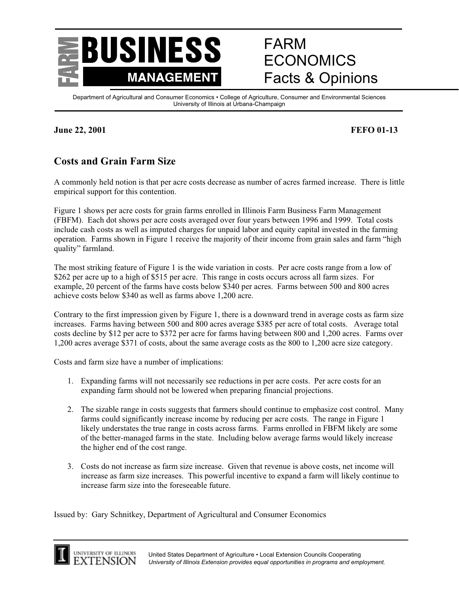

## FARM ECONOMICS Facts & Opinions

Department of Agricultural and Consumer Economics • College of Agriculture, Consumer and Environmental Sciences University of Illinois at Urbana-Champaign

## **June 22, 2001** FEFO 01-13

## **Costs and Grain Farm Size**

A commonly held notion is that per acre costs decrease as number of acres farmed increase. There is little empirical support for this contention.

Figure 1 shows per acre costs for grain farms enrolled in Illinois Farm Business Farm Management (FBFM). Each dot shows per acre costs averaged over four years between 1996 and 1999. Total costs include cash costs as well as imputed charges for unpaid labor and equity capital invested in the farming operation. Farms shown in Figure 1 receive the majority of their income from grain sales and farm "high quality" farmland.

The most striking feature of Figure 1 is the wide variation in costs. Per acre costs range from a low of \$262 per acre up to a high of \$515 per acre. This range in costs occurs across all farm sizes. For example, 20 percent of the farms have costs below \$340 per acres. Farms between 500 and 800 acres achieve costs below \$340 as well as farms above 1,200 acre.

Contrary to the first impression given by Figure 1, there is a downward trend in average costs as farm size increases. Farms having between 500 and 800 acres average \$385 per acre of total costs. Average total costs decline by \$12 per acre to \$372 per acre for farms having between 800 and 1,200 acres. Farms over 1,200 acres average \$371 of costs, about the same average costs as the 800 to 1,200 acre size category.

Costs and farm size have a number of implications:

- 1. Expanding farms will not necessarily see reductions in per acre costs. Per acre costs for an expanding farm should not be lowered when preparing financial projections.
- 2. The sizable range in costs suggests that farmers should continue to emphasize cost control. Many farms could significantly increase income by reducing per acre costs. The range in Figure 1 likely understates the true range in costs across farms. Farms enrolled in FBFM likely are some of the better-managed farms in the state. Including below average farms would likely increase the higher end of the cost range.
- 3. Costs do not increase as farm size increase. Given that revenue is above costs, net income will increase as farm size increases. This powerful incentive to expand a farm will likely continue to increase farm size into the foreseeable future.

Issued by: Gary Schnitkey, Department of Agricultural and Consumer Economics